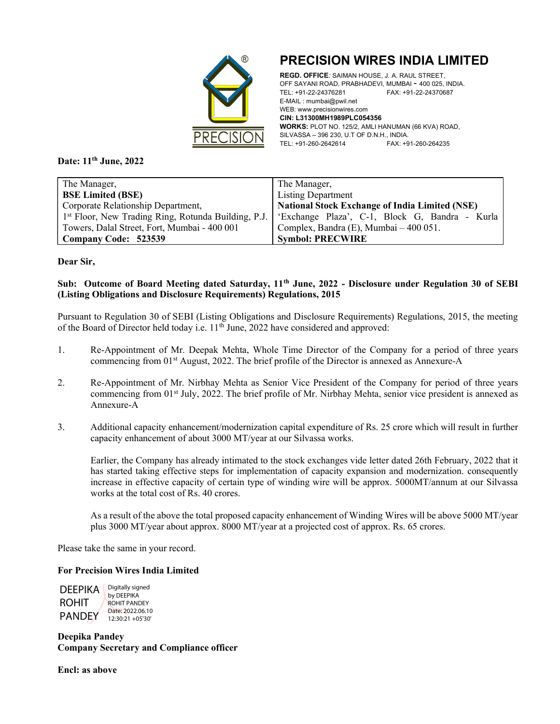

# PRECISION WIRES INDIA LIMITED

REGD. OFFICE: SAIMAN HOUSE, J. A. RAUL STREET, OFF SAYANI ROAD, PRABHADEVI, MUMBAI - 400 025, INDIA.<br>TEL: +91-22-24376281 FAX: +91-22-24370687 TEL: +91-22-24376281 FAX: +91-22-24370687 E-MAIL : mumbai@pwil.net WEB: www.precisionwires.com CIN: L31300MH1989PLC054356 WORKS: PLOT NO. 125/2, AMLI HANUMAN (66 KVA) ROAD, SILVASSA – 396 230, U.T OF D.N.H., INDIA. TEL: +91-260-2642614 FAX: +91-260-264235

Date: 11<sup>th</sup> June, 2022

| The Manager,                                                    | The Manager,                                          |
|-----------------------------------------------------------------|-------------------------------------------------------|
| <b>BSE Limited (BSE)</b>                                        | <b>Listing Department</b>                             |
| Corporate Relationship Department,                              | <b>National Stock Exchange of India Limited (NSE)</b> |
| 1 <sup>st</sup> Floor, New Trading Ring, Rotunda Building, P.J. | 'Exchange Plaza', C-1, Block G, Bandra - Kurla        |
| Towers, Dalal Street, Fort, Mumbai - 400 001                    | Complex, Bandra (E), Mumbai – 400 051.                |
| Company Code: 523539                                            | <b>Symbol: PRECWIRE</b>                               |

Dear Sir,

### Sub: Outcome of Board Meeting dated Saturday, 11<sup>th</sup> June, 2022 - Disclosure under Regulation 30 of SEBI (Listing Obligations and Disclosure Requirements) Regulations, 2015

Pursuant to Regulation 30 of SEBI (Listing Obligations and Disclosure Requirements) Regulations, 2015, the meeting of the Board of Director held today i.e. 11<sup>th</sup> June, 2022 have considered and approved:

- 1. Re-Appointment of Mr. Deepak Mehta, Whole Time Director of the Company for a period of three years commencing from 01<sup>st</sup> August, 2022. The brief profile of the Director is annexed as Annexure-A
- 2. Re-Appointment of Mr. Nirbhay Mehta as Senior Vice President of the Company for period of three years commencing from 01st July, 2022. The brief profile of Mr. Nirbhay Mehta, senior vice president is annexed as Annexure-A
- 3. Additional capacity enhancement/modernization capital expenditure of Rs. 25 crore which will result in further capacity enhancement of about 3000 MT/year at our Silvassa works.

Earlier, the Company has already intimated to the stock exchanges vide letter dated 26th February, 2022 that it has started taking effective steps for implementation of capacity expansion and modernization. consequently increase in effective capacity of certain type of winding wire will be approx. 5000MT/annum at our Silvassa works at the total cost of Rs. 40 crores.

As a result of the above the total proposed capacity enhancement of Winding Wires will be above 5000 MT/year plus 3000 MT/year about approx. 8000 MT/year at a projected cost of approx. Rs. 65 crores.

Please take the same in your record.

#### For Precision Wires India Limited

DEEPIKA ROHIT PANDEY 12:30:21 +05'30' Digitally signed by DEEPIKA ROHIT PANDEY Date: 2022.06.10

Deepika Pandey Company Secretary and Compliance officer

Encl: as above